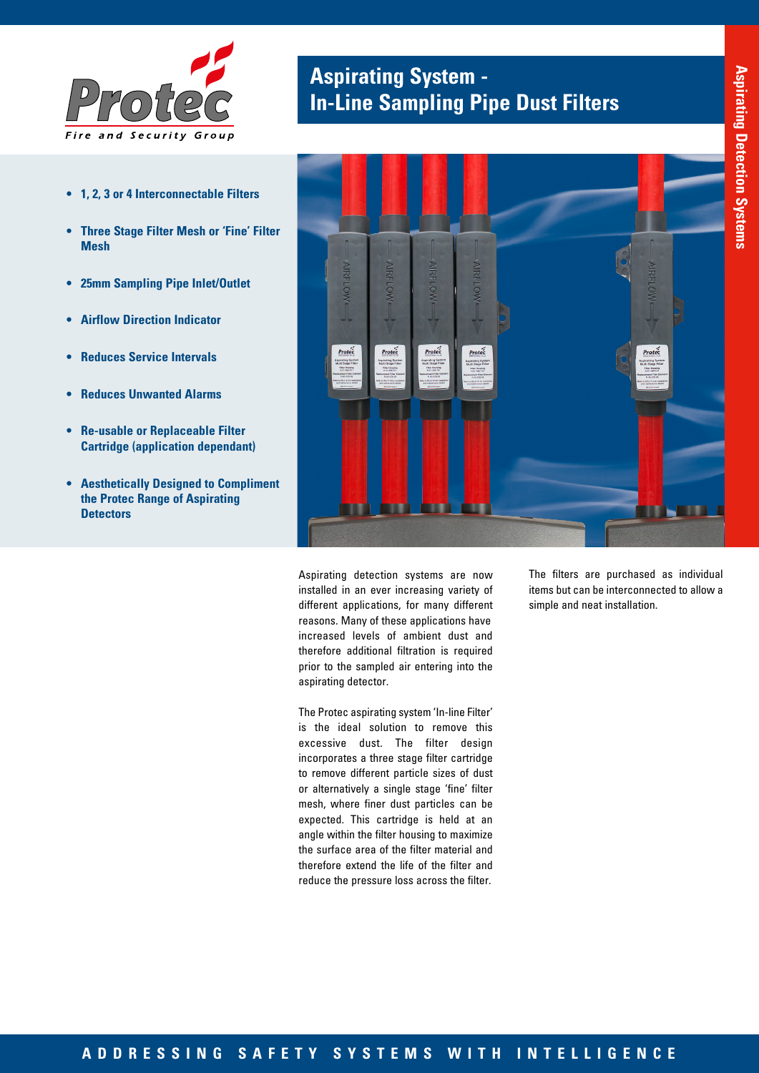

- **• 1, 2, 3 or 4 Interconnectable Filters**
- **• Three Stage Filter Mesh or 'Fine' Filter Mesh**
- **• 25mm Sampling Pipe Inlet/Outlet**
- **• Airflow Direction Indicator**
- **• Reduces Service Intervals**
- **• Reduces Unwanted Alarms**
- **• Re-usable or Replaceable Filter Cartridge (application dependant)**
- **• Aesthetically Designed to Compliment the Protec Range of Aspirating Detectors**

## **Aspirating System - In-Line Sampling Pipe Dust Filters**



Aspirating detection systems are now installed in an ever increasing variety of different applications, for many different reasons. Many of these applications have increased levels of ambient dust and therefore additional filtration is required prior to the sampled air entering into the aspirating detector.

The Protec aspirating system 'In-line Filter' is the ideal solution to remove this excessive dust. The filter design incorporates a three stage filter cartridge to remove different particle sizes of dust or alternatively a single stage 'fine' filter mesh, where finer dust particles can be expected. This cartridge is held at an angle within the filter housing to maximize the surface area of the filter material and therefore extend the life of the filter and reduce the pressure loss across the filter.

The filters are purchased as individual items but can be interconnected to allow a simple and neat installation.